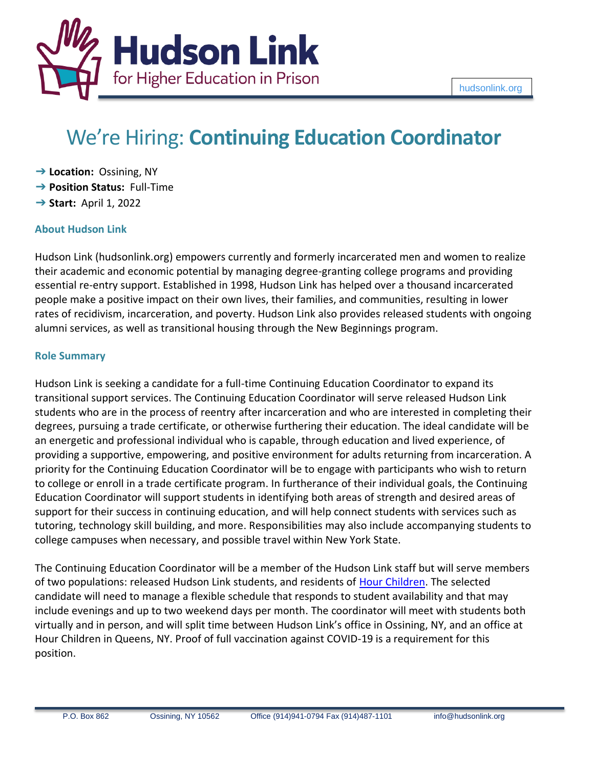

# We're Hiring: **Continuing Education Coordinator**

- ➔ **Location:** Ossining, NY
- ➔ **Position Status:** Full-Time
- ➔ **Start:** April 1, 2022

# **About Hudson Link**

Hudson Link (hudsonlink.org) empowers currently and formerly incarcerated men and women to realize their academic and economic potential by managing degree-granting college programs and providing essential re-entry support. Established in 1998, Hudson Link has helped over a thousand incarcerated people make a positive impact on their own lives, their families, and communities, resulting in lower rates of recidivism, incarceration, and poverty. Hudson Link also provides released students with ongoing alumni services, as well as transitional housing through the New Beginnings program.

# **Role Summary**

Hudson Link is seeking a candidate for a full-time Continuing Education Coordinator to expand its transitional support services. The Continuing Education Coordinator will serve released Hudson Link students who are in the process of reentry after incarceration and who are interested in completing their degrees, pursuing a trade certificate, or otherwise furthering their education. The ideal candidate will be an energetic and professional individual who is capable, through education and lived experience, of providing a supportive, empowering, and positive environment for adults returning from incarceration. A priority for the Continuing Education Coordinator will be to engage with participants who wish to return to college or enroll in a trade certificate program. In furtherance of their individual goals, the Continuing Education Coordinator will support students in identifying both areas of strength and desired areas of support for their success in continuing education, and will help connect students with services such as tutoring, technology skill building, and more. Responsibilities may also include accompanying students to college campuses when necessary, and possible travel within New York State.

The Continuing Education Coordinator will be a member of the Hudson Link staff but will serve members of two populations: released Hudson Link students, and residents of [Hour Children.](https://hourchildren.org/) The selected candidate will need to manage a flexible schedule that responds to student availability and that may include evenings and up to two weekend days per month. The coordinator will meet with students both virtually and in person, and will split time between Hudson Link's office in Ossining, NY, and an office at Hour Children in Queens, NY. Proof of full vaccination against COVID-19 is a requirement for this position.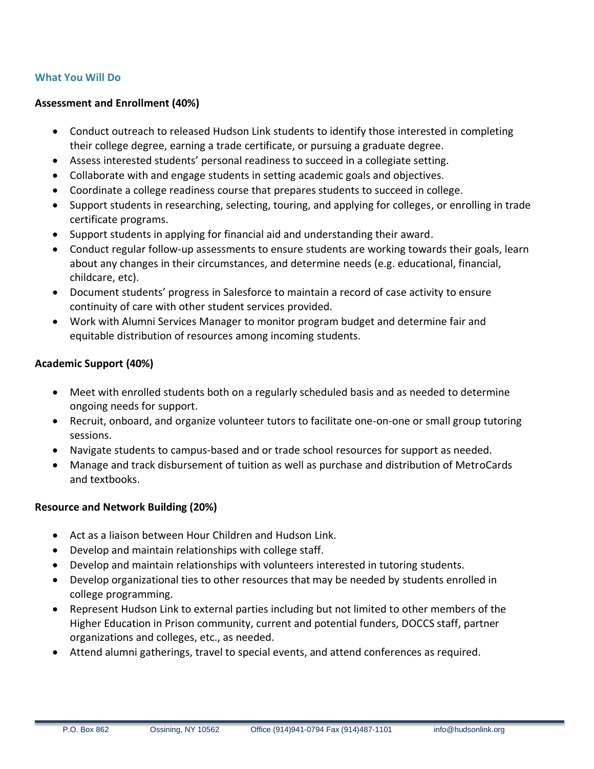## **What You Will Do**

#### **Assessment and Enrollment (40%)**

- Conduct outreach to released Hudson Link students to identify those interested in completing their college degree, earning a trade certificate, or pursuing a graduate degree.
- Assess interested students' personal readiness to succeed in a collegiate setting.
- Collaborate with and engage students in setting academic goals and objectives.
- Coordinate a college readiness course that prepares students to succeed in college.
- Support students in researching, selecting, touring, and applying for colleges, or enrolling in trade certificate programs.
- Support students in applying for financial aid and understanding their award.
- Conduct regular follow-up assessments to ensure students are working towards their goals, learn about any changes in their circumstances, and determine needs (e.g. educational, financial, childcare, etc).
- Document students' progress in Salesforce to maintain a record of case activity to ensure continuity of care with other student services provided.
- Work with Alumni Services Manager to monitor program budget and determine fair and equitable distribution of resources among incoming students.

## **Academic Support (40%)**

- Meet with enrolled students both on a regularly scheduled basis and as needed to determine ongoing needs for support.
- Recruit, onboard, and organize volunteer tutors to facilitate one-on-one or small group tutoring sessions.
- Navigate students to campus-based and or trade school resources for support as needed.
- Manage and track disbursement of tuition as well as purchase and distribution of MetroCards and textbooks.

## **Resource and Network Building (20%)**

- Act as a liaison between Hour Children and Hudson Link.
- Develop and maintain relationships with college staff.
- Develop and maintain relationships with volunteers interested in tutoring students.
- Develop organizational ties to other resources that may be needed by students enrolled in college programming.
- Represent Hudson Link to external parties including but not limited to other members of the Higher Education in Prison community, current and potential funders, DOCCS staff, partner organizations and colleges, etc., as needed.
- Attend alumni gatherings, travel to special events, and attend conferences as required.